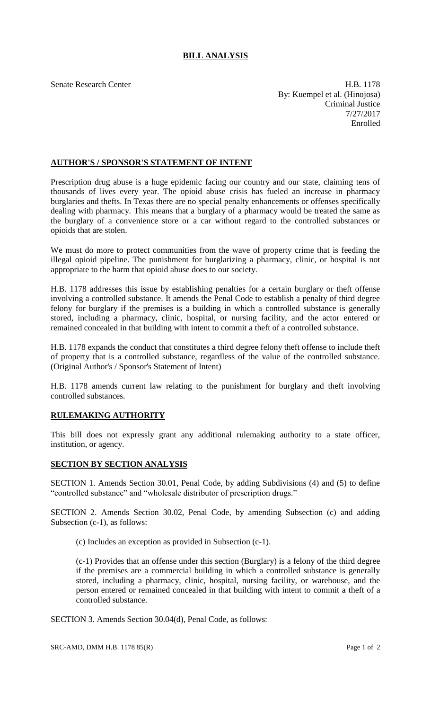## **BILL ANALYSIS**

Senate Research Center **H.B. 1178** By: Kuempel et al. (Hinojosa) Criminal Justice 7/27/2017 Enrolled

## **AUTHOR'S / SPONSOR'S STATEMENT OF INTENT**

Prescription drug abuse is a huge epidemic facing our country and our state, claiming tens of thousands of lives every year. The opioid abuse crisis has fueled an increase in pharmacy burglaries and thefts. In Texas there are no special penalty enhancements or offenses specifically dealing with pharmacy. This means that a burglary of a pharmacy would be treated the same as the burglary of a convenience store or a car without regard to the controlled substances or opioids that are stolen.

We must do more to protect communities from the wave of property crime that is feeding the illegal opioid pipeline. The punishment for burglarizing a pharmacy, clinic, or hospital is not appropriate to the harm that opioid abuse does to our society.

H.B. 1178 addresses this issue by establishing penalties for a certain burglary or theft offense involving a controlled substance. It amends the Penal Code to establish a penalty of third degree felony for burglary if the premises is a building in which a controlled substance is generally stored, including a pharmacy, clinic, hospital, or nursing facility, and the actor entered or remained concealed in that building with intent to commit a theft of a controlled substance.

H.B. 1178 expands the conduct that constitutes a third degree felony theft offense to include theft of property that is a controlled substance, regardless of the value of the controlled substance. (Original Author's / Sponsor's Statement of Intent)

H.B. 1178 amends current law relating to the punishment for burglary and theft involving controlled substances.

## **RULEMAKING AUTHORITY**

This bill does not expressly grant any additional rulemaking authority to a state officer, institution, or agency.

## **SECTION BY SECTION ANALYSIS**

SECTION 1. Amends Section 30.01, Penal Code, by adding Subdivisions (4) and (5) to define "controlled substance" and "wholesale distributor of prescription drugs."

SECTION 2. Amends Section 30.02, Penal Code, by amending Subsection (c) and adding Subsection (c-1), as follows:

(c) Includes an exception as provided in Subsection (c-1).

(c-1) Provides that an offense under this section (Burglary) is a felony of the third degree if the premises are a commercial building in which a controlled substance is generally stored, including a pharmacy, clinic, hospital, nursing facility, or warehouse, and the person entered or remained concealed in that building with intent to commit a theft of a controlled substance.

SECTION 3. Amends Section 30.04(d), Penal Code, as follows: